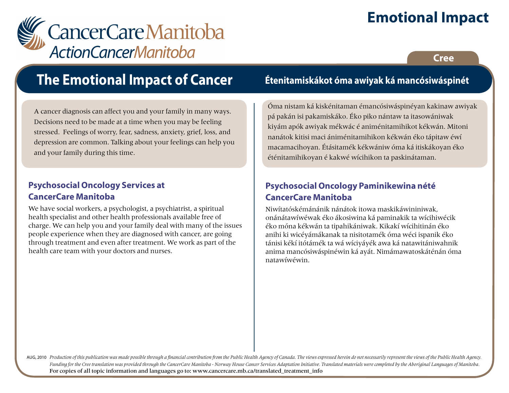# **Emotional Impact**



## **Cree**

# **The Emotional Impact of Cancer**

A cancer diagnosis can affect you and your family in many ways. Decisions need to be made at a time when you may be feeling stressed. Feelings of worry, fear, sadness, anxiety, grief, loss, and depression are common. Talking about your feelings can help you and your family during this time.

## **Psychosocial Oncology Services at CancerCare Manitoba**

We have social workers, a psychologist, a psychiatrist, a spiritual health specialist and other health professionals available free of charge. We can help you and your family deal with many of the issues people experience when they are diagnosed with cancer, are going through treatment and even after treatment. We work as part of the health care team with your doctors and nurses.

# **Étenitamiskákot óma awiyak ká mancósiwáspinét**

Óma nistam ká kiskénitaman émancósiwáspinéyan kakinaw awiyak pá pakán isi pakamiskáko. Éko piko nántaw ta itasowániwak kiyám apók awiyak mékwác é animénitamihikot kékwán. Mitoni nanátok kitisi maci ániménitamihikon kékwán éko tápitaw éwí macamacihoyan. Étásitamék kékwániw óma ká itiskákoyan éko éténitamihikoyan é kakwé wícihikon ta paskinátaman.

## **Psychosocial Oncology Paminikewina nété CancerCare Manitoba**

Niwítatóskémánánik nánátok itowa maskikáwininiwak, onánátawíwéwak éko ákosiwina ká paminakik ta wícihiwécik éko móna kékwán ta tipahikániwak. Kikakí wícihitinán éko anihi ki wicéyámákanak ta nisitotamék óma wéci ispanik éko tánisi kékí itótámék ta wá wíciyáyék awa ká natawitániwahnik anima mancósiwáspinéwin ká ayát. Nimámawatoskáténán óma natawíwéwin.

AUG, 2010 Production of this publication was made possible through a financial contribution from the Public Health Agency of Canada. The views expressed herein do not necessarily represent the views of the Public Health Ag *Funding for the Cree translation was provided through the CancerCare Manitoba - Norway House Cancer Services Adaptation Initiative. Translated materials were completed by the Aboriginal Languages of Manitoba.* For copies of all topic information and languages go to: www.cancercare.mb.ca/translated\_treatment\_info